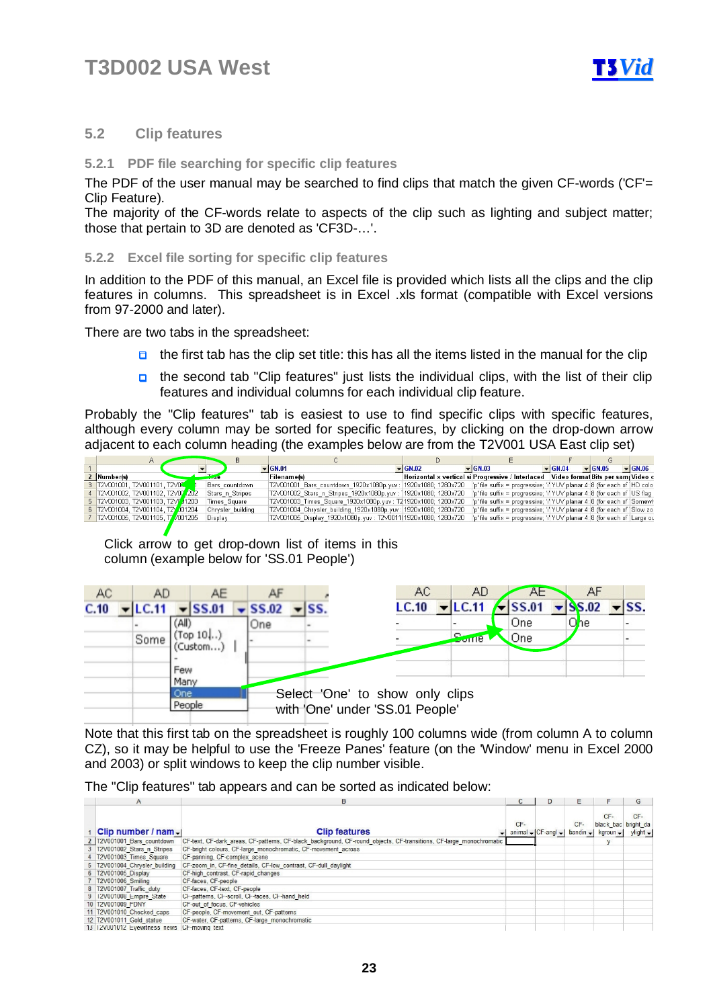

### **5.2 Clip features**

### **5.2.1 PDF file searching for specific clip features**

The PDF of the user manual may be searched to find clips that match the given CF-words ('CF'= Clip Feature).

The majority of the CF-words relate to aspects of the clip such as lighting and subject matter; those that pertain to 3D are denoted as 'CF3D-…'.

#### **5.2.2 Excel file sorting for specific clip features**

In addition to the PDF of this manual, an Excel file is provided which lists all the clips and the clip features in columns. This spreadsheet is in Excel .xls format (compatible with Excel versions from 97-2000 and later).

There are two tabs in the spreadsheet:

- $\Box$  the first tab has the clip set title: this has all the items listed in the manual for the clip
- **n** the second tab "Clip features" just lists the individual clips, with the list of their clip features and individual columns for each individual clip feature.

Probably the "Clip features" tab is easiest to use to find specific clips with specific features, although every column may be sorted for specific features, by clicking on the drop-down arrow adjacent to each column heading (the examples below are from the T2V001 USA East clip set)

|                                      |                   | $\blacktriangledown$ GN.01                                      | $\blacktriangleright$ GN.02 | $\blacktriangledown$ GN.03                                                            | $\blacktriangleright$ GN.04 | $\blacktriangleright$ GN.05 | $\blacktriangledown$ GN.06 |
|--------------------------------------|-------------------|-----------------------------------------------------------------|-----------------------------|---------------------------------------------------------------------------------------|-----------------------------|-----------------------------|----------------------------|
| Number(s)                            |                   | <b>Filename(s)</b>                                              |                             | Horizontal x vertical si Progressive / Interlaced   Video format Bits per sam Video c |                             |                             |                            |
| 3 T2V001001, T2V001101, T2V00        | Bars countdown    | T2V001001 Bars countdown 1920x1080p.yuv: 1920x1080; 1280x720    |                             | 'p' file suffix = progressive; 'i' YUV planar 4: 8 (for each of   HD colo             |                             |                             |                            |
| 4 T2V001002, T2V001102, T2V00 202    | Stars n Stripes   | T2V001002 Stars n Stripes 1920x1080p.yuv: 1920x1080; 1280x720   |                             | 'p' file suffix = progressive; 'i' YUV planar 4: 8 (for each of   US flag             |                             |                             |                            |
| 5   T2V001003, T2V001103, T2V7 J1203 | Times Square      | T2V001003 Times Square 1920x1080p.yuv: T21920x1080; 1280x720    |                             | 'p' file suffix = progressive; 'i'  YUV planar 4: 8 (for each of   Somewh             |                             |                             |                            |
| 6 T2V001004, T2V001104, T2V001204    | Chrysler building | T2V001004 Chrysler building 1920x1080p.yuv: 1920x1080; 1280x720 |                             | 'p' file suffix = progressive; 'i' YUV planar 4: 8 (for each of Slow zo               |                             |                             |                            |
| 7 T2V001005, T2V001105, T7 /001205   | Display           | T2V001005_Display_1920x1080p.yuv: T2V0011(1920x1080; 1280x720   |                             | 'p' file suffix = progressive; 'i'  YUV planar 4: 8 (for each of   Large ou           |                             |                             |                            |
|                                      |                   |                                                                 |                             |                                                                                       |                             |                             |                            |

Click arrow to get drop-down list of items in this column (example below for 'SS.01 People')

| AC   |             | AD    |                       | AE           |  |                       |  |                                                                    | AC    |  | AD                                                          |  | AE. |  | AF                          |                              |  |
|------|-------------|-------|-----------------------|--------------|--|-----------------------|--|--------------------------------------------------------------------|-------|--|-------------------------------------------------------------|--|-----|--|-----------------------------|------------------------------|--|
| C.10 |             | LC.11 |                       | <b>SS.01</b> |  | $\sqrt{\text{SS}.02}$ |  | $\mathbf{S}$                                                       | LC.10 |  | $\overline{\mathsf{L}}$ LC.11 $\overline{\mathsf{L}}$ SS.01 |  |     |  | $\blacktriangleright$ SS.02 | $\overline{\phantom{a}}$ SS. |  |
|      |             |       | (All)                 |              |  | One                   |  |                                                                    |       |  |                                                             |  | One |  | Ohe                         |                              |  |
|      | Some        |       | $Top 10$ )<br>Custom) |              |  |                       |  |                                                                    |       |  | <b>Some</b>                                                 |  | One |  |                             |                              |  |
|      | Few<br>Many |       |                       |              |  |                       |  |                                                                    |       |  |                                                             |  |     |  |                             |                              |  |
|      |             |       | One<br>People         |              |  |                       |  | Select 'One' to show only clips<br>with 'One' under 'SS.01 People' |       |  |                                                             |  |     |  |                             |                              |  |

Note that this first tab on the spreadsheet is roughly 100 columns wide (from column A to column CZ), so it may be helpful to use the 'Freeze Panes' feature (on the 'Window' menu in Excel 2000 and 2003) or split windows to keep the clip number visible.

The "Clip features" tab appears and can be sorted as indicated below:

| A                             | в                                                                                                                  |       |                          |                    |                                                      | G                              |
|-------------------------------|--------------------------------------------------------------------------------------------------------------------|-------|--------------------------|--------------------|------------------------------------------------------|--------------------------------|
| Clip number / nam-            | <b>Clip features</b>                                                                                               | $CF-$ | animal $\sqrt{ CF-ang }$ | CF-<br>$bandin -1$ | CF-<br>black bac bright da<br>$k$ groun $\leftarrow$ | CF-<br>$y$ light $\rightarrow$ |
| 2 T2V001001 Bars countdown    | CF-text, CF-dark areas, CF-patterns, CF-black background, CF-round objects, CF-transitions, CF-large monochromatic |       |                          |                    |                                                      |                                |
| 3 T2V001002 Stars n Stripes   | CF-bright colours, CF-large monochromatic, CF-movement across                                                      |       |                          |                    |                                                      |                                |
| 4 T2V001003 Times Square      | CF-panning, CF-complex scene                                                                                       |       |                          |                    |                                                      |                                |
| 5 T2V001004 Chrysler building | CF-zoom in, CF-fine details, CF-low contrast, CF-dull daylight                                                     |       |                          |                    |                                                      |                                |
| 6 T2V001005 Display           | CF-high contrast, CF-rapid changes                                                                                 |       |                          |                    |                                                      |                                |
| 7 T2V001006 Smiling           | CF-faces, CF-people                                                                                                |       |                          |                    |                                                      |                                |
| 8 T2V001007 Traffic duty      | CF-faces, CF-text, CF-people                                                                                       |       |                          |                    |                                                      |                                |
| 9 12V001008 Empire State      | Cl-patterns, Cl-scroll, Cl-faces, Cl-hand held                                                                     |       |                          |                    |                                                      |                                |
| 10 T2V001009 FDNY             | CF-out of focus, CF-vehicles                                                                                       |       |                          |                    |                                                      |                                |
| 11 T2V001010 Checked caps     | CF-people, CF-movement out, CF-patterns                                                                            |       |                          |                    |                                                      |                                |
| 12 T2V001011 Gold statue      | CF-water, CF-patterns, CF-large monochromatic                                                                      |       |                          |                    |                                                      |                                |
| 13 T2V001012 Evewitness news  | CF-moving text                                                                                                     |       |                          |                    |                                                      |                                |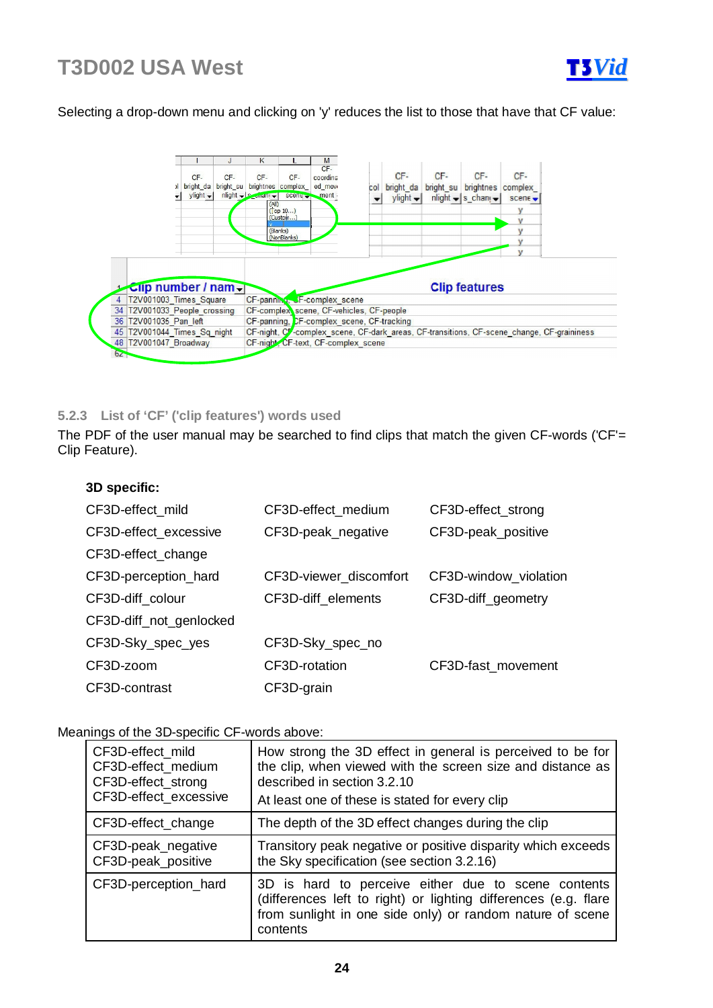

## Selecting a drop-down menu and clicking on 'y' reduces the list to those that have that CF value:



### **5.2.3 List of 'CF' ('clip features') words used**

The PDF of the user manual may be searched to find clips that match the given CF-words ('CF'= Clip Feature).

| 3D specific: |  |
|--------------|--|
|--------------|--|

| CF3D-effect_mild        | CF3D-effect medium     | CF3D-effect_strong    |  |
|-------------------------|------------------------|-----------------------|--|
| CF3D-effect excessive   | CF3D-peak_negative     | CF3D-peak_positive    |  |
| CF3D-effect_change      |                        |                       |  |
| CF3D-perception_hard    | CF3D-viewer_discomfort | CF3D-window_violation |  |
| CF3D-diff colour        | CF3D-diff elements     | CF3D-diff_geometry    |  |
| CF3D-diff_not_genlocked |                        |                       |  |
| CF3D-Sky_spec_yes       | CF3D-Sky_spec_no       |                       |  |
| CF3D-zoom               | CF3D-rotation          | CF3D-fast_movement    |  |
| CF3D-contrast           | CF3D-grain             |                       |  |

### Meanings of the 3D-specific CF-words above:

| CF3D-effect mild<br>CF3D-effect_medium<br>CF3D-effect_strong<br>CF3D-effect excessive | How strong the 3D effect in general is perceived to be for<br>the clip, when viewed with the screen size and distance as<br>described in section 3.2.10<br>At least one of these is stated for every clip |
|---------------------------------------------------------------------------------------|-----------------------------------------------------------------------------------------------------------------------------------------------------------------------------------------------------------|
| CF3D-effect_change                                                                    | The depth of the 3D effect changes during the clip                                                                                                                                                        |
| CF3D-peak_negative<br>CF3D-peak positive                                              | Transitory peak negative or positive disparity which exceeds<br>the Sky specification (see section 3.2.16)                                                                                                |
| CF3D-perception_hard                                                                  | 3D is hard to perceive either due to scene contents<br>(differences left to right) or lighting differences (e.g. flare<br>from sunlight in one side only) or random nature of scene<br>contents           |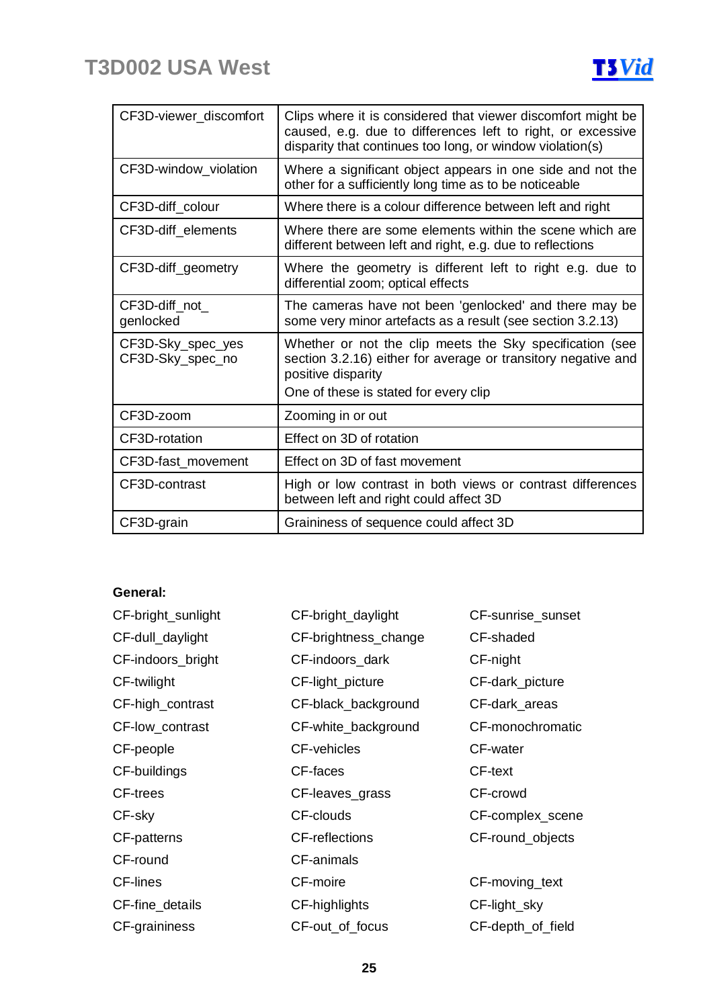

| CF3D-viewer discomfort                | Clips where it is considered that viewer discomfort might be<br>caused, e.g. due to differences left to right, or excessive<br>disparity that continues too long, or window violation(s) |
|---------------------------------------|------------------------------------------------------------------------------------------------------------------------------------------------------------------------------------------|
| CF3D-window_violation                 | Where a significant object appears in one side and not the<br>other for a sufficiently long time as to be noticeable                                                                     |
| CF3D-diff_colour                      | Where there is a colour difference between left and right                                                                                                                                |
| CF3D-diff_elements                    | Where there are some elements within the scene which are<br>different between left and right, e.g. due to reflections                                                                    |
| CF3D-diff_geometry                    | Where the geometry is different left to right e.g. due to<br>differential zoom; optical effects                                                                                          |
| CF3D-diff not<br>genlocked            | The cameras have not been 'genlocked' and there may be<br>some very minor artefacts as a result (see section 3.2.13)                                                                     |
| CF3D-Sky_spec_yes<br>CF3D-Sky_spec_no | Whether or not the clip meets the Sky specification (see<br>section 3.2.16) either for average or transitory negative and<br>positive disparity<br>One of these is stated for every clip |
| CF3D-zoom                             | Zooming in or out                                                                                                                                                                        |
| CF3D-rotation                         | Effect on 3D of rotation                                                                                                                                                                 |
| CF3D-fast_movement                    | Effect on 3D of fast movement                                                                                                                                                            |
| CF3D-contrast                         | High or low contrast in both views or contrast differences<br>between left and right could affect 3D                                                                                     |
| CF3D-grain                            | Graininess of sequence could affect 3D                                                                                                                                                   |

## **General:**

| CF-bright_sunlight | CF-bright_daylight    | CF-sunrise_sunset |
|--------------------|-----------------------|-------------------|
| CF-dull_daylight   | CF-brightness_change  | CF-shaded         |
| CF-indoors_bright  | CF-indoors_dark       | CF-night          |
| CF-twilight        | CF-light_picture      | CF-dark_picture   |
| CF-high_contrast   | CF-black_background   | CF-dark_areas     |
| CF-low_contrast    | CF-white_background   | CF-monochromatic  |
| CF-people          | <b>CF-vehicles</b>    | CF-water          |
| CF-buildings       | CF-faces              | CF-text           |
| <b>CF-trees</b>    | CF-leaves_grass       | CF-crowd          |
| CF-sky             | CF-clouds             | CF-complex_scene  |
| CF-patterns        | <b>CF-reflections</b> | CF-round_objects  |
| CF-round           | CF-animals            |                   |
| <b>CF-lines</b>    | CF-moire              | CF-moving_text    |
| CF-fine_details    | CF-highlights         | CF-light_sky      |
| CF-graininess      | CF-out_of_focus       | CF-depth_of_field |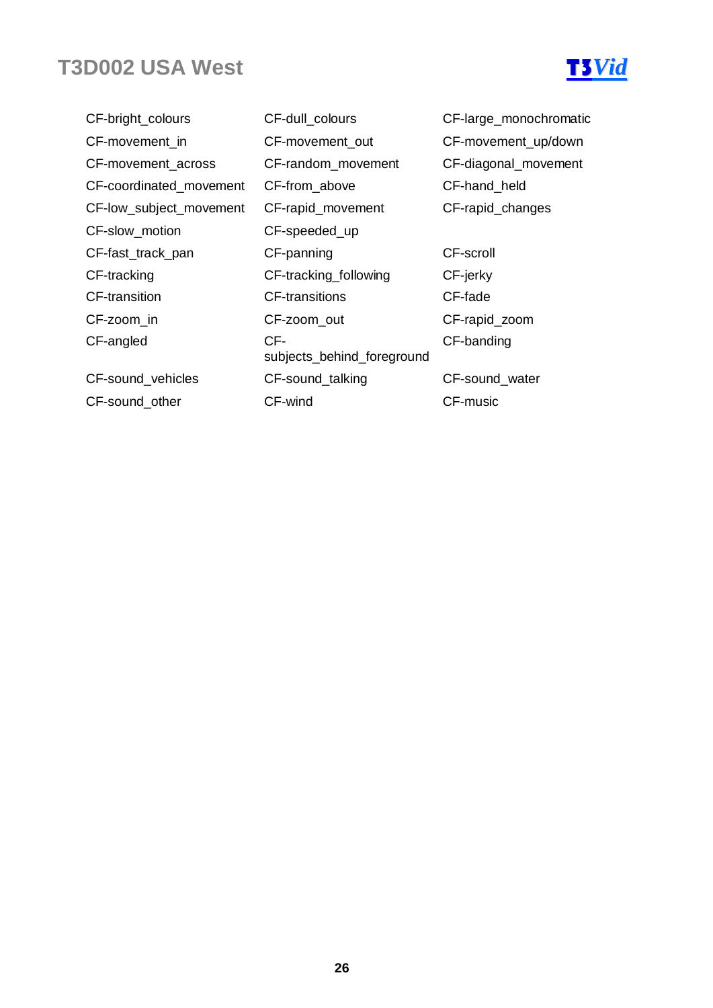

CF-bright\_colours CF-dull\_colours CF-large\_monochromatic CF-movement\_in CF-movement\_out CF-movement\_up/down CF-movement\_across CF-random\_movement CF-diagonal\_movement CF-coordinated\_movement CF-from\_above CF-hand\_held CF-low\_subject\_movement CF-rapid\_movement CF-rapid\_changes CF-slow\_motion CF-speeded\_up CF-fast\_track\_pan CF-panning CF-scroll CF-tracking CF-tracking\_following CF-jerky CF-transition CF-transitions CF-fade CF-zoom\_in CF-zoom\_out CF-rapid\_zoom CF-angled CF-CF-sound vehicles CF-sound talking CF-sound water CF-sound other CF-wind CF-music

- subjects\_behind\_foreground
- 
- CF-banding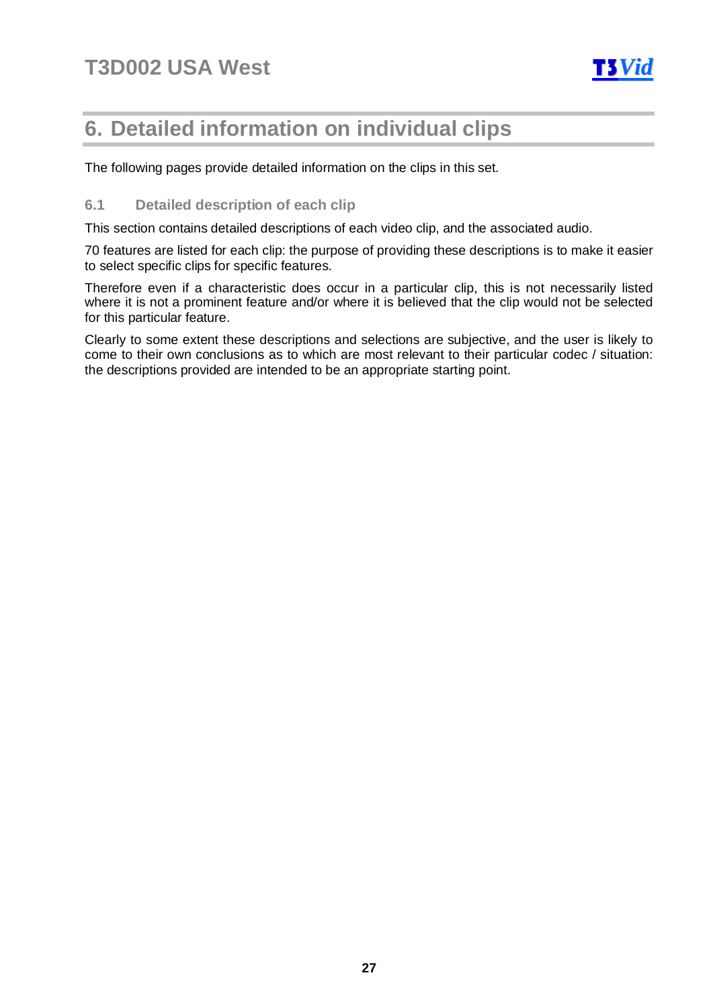

## **6. Detailed information on individual clips**

The following pages provide detailed information on the clips in this set.

## **6.1 Detailed description of each clip**

This section contains detailed descriptions of each video clip, and the associated audio.

70 features are listed for each clip: the purpose of providing these descriptions is to make it easier to select specific clips for specific features.

Therefore even if a characteristic does occur in a particular clip, this is not necessarily listed where it is not a prominent feature and/or where it is believed that the clip would not be selected for this particular feature.

Clearly to some extent these descriptions and selections are subjective, and the user is likely to come to their own conclusions as to which are most relevant to their particular codec / situation: the descriptions provided are intended to be an appropriate starting point.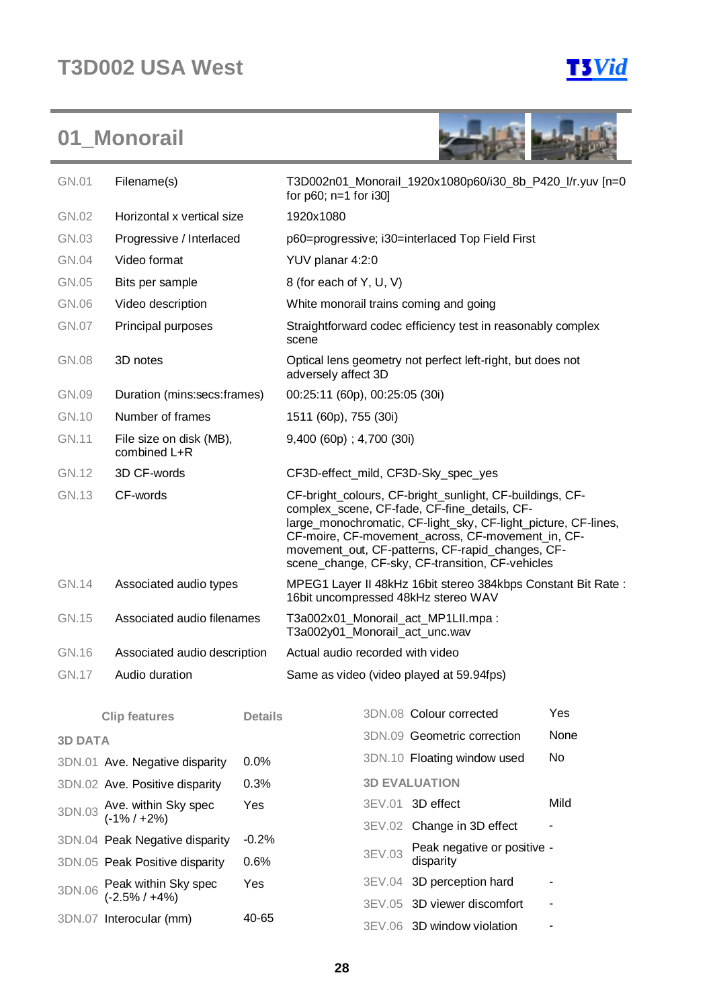



| Filename(s)<br>GN.01                |                                         |                | T3D002n01_Monorail_1920x1080p60/i30_8b_P420_l/r.yuv [n=0<br>for $p60$ ; $n=1$ for i30]                                                                                                                                                                                                                                                  |        |                                                             |      |  |
|-------------------------------------|-----------------------------------------|----------------|-----------------------------------------------------------------------------------------------------------------------------------------------------------------------------------------------------------------------------------------------------------------------------------------------------------------------------------------|--------|-------------------------------------------------------------|------|--|
| GN.02<br>Horizontal x vertical size |                                         |                | 1920x1080                                                                                                                                                                                                                                                                                                                               |        |                                                             |      |  |
| GN.03<br>Progressive / Interlaced   |                                         |                |                                                                                                                                                                                                                                                                                                                                         |        | p60=progressive; i30=interlaced Top Field First             |      |  |
| <b>GN.04</b>                        | Video format                            |                | YUV planar 4:2:0                                                                                                                                                                                                                                                                                                                        |        |                                                             |      |  |
| GN.05                               | Bits per sample                         |                | 8 (for each of Y, U, V)                                                                                                                                                                                                                                                                                                                 |        |                                                             |      |  |
| GN.06                               | Video description                       |                |                                                                                                                                                                                                                                                                                                                                         |        | White monorail trains coming and going                      |      |  |
| <b>GN.07</b>                        | Principal purposes                      |                | scene                                                                                                                                                                                                                                                                                                                                   |        | Straightforward codec efficiency test in reasonably complex |      |  |
| <b>GN.08</b>                        | 3D notes                                |                | adversely affect 3D                                                                                                                                                                                                                                                                                                                     |        | Optical lens geometry not perfect left-right, but does not  |      |  |
| GN.09                               | Duration (mins:secs:frames)             |                | 00:25:11 (60p), 00:25:05 (30i)                                                                                                                                                                                                                                                                                                          |        |                                                             |      |  |
| GN.10                               | Number of frames                        |                | 1511 (60p), 755 (30i)                                                                                                                                                                                                                                                                                                                   |        |                                                             |      |  |
| <b>GN.11</b>                        | File size on disk (MB),<br>combined L+R |                | $9,400$ (60p); $4,700$ (30i)                                                                                                                                                                                                                                                                                                            |        |                                                             |      |  |
| GN.12                               | 3D CF-words                             |                | CF3D-effect_mild, CF3D-Sky_spec_yes                                                                                                                                                                                                                                                                                                     |        |                                                             |      |  |
| GN.13<br>CF-words                   |                                         |                | CF-bright_colours, CF-bright_sunlight, CF-buildings, CF-<br>complex_scene, CF-fade, CF-fine_details, CF-<br>large_monochromatic, CF-light_sky, CF-light_picture, CF-lines,<br>CF-moire, CF-movement_across, CF-movement_in, CF-<br>movement_out, CF-patterns, CF-rapid_changes, CF-<br>scene_change, CF-sky, CF-transition, CF-vehicles |        |                                                             |      |  |
| <b>GN.14</b>                        | Associated audio types                  |                | MPEG1 Layer II 48kHz 16bit stereo 384kbps Constant Bit Rate:<br>16bit uncompressed 48kHz stereo WAV                                                                                                                                                                                                                                     |        |                                                             |      |  |
| GN.15                               | Associated audio filenames              |                | T3a002x01_Monorail_act_MP1LII.mpa:<br>T3a002y01_Monorail_act_unc.wav                                                                                                                                                                                                                                                                    |        |                                                             |      |  |
| GN.16                               | Associated audio description            |                | Actual audio recorded with video                                                                                                                                                                                                                                                                                                        |        |                                                             |      |  |
| <b>GN.17</b>                        | Audio duration                          |                |                                                                                                                                                                                                                                                                                                                                         |        | Same as video (video played at 59.94fps)                    |      |  |
|                                     | <b>Clip features</b>                    | <b>Details</b> |                                                                                                                                                                                                                                                                                                                                         |        | 3DN.08 Colour corrected                                     | Yes  |  |
| <b>3D DATA</b>                      |                                         |                |                                                                                                                                                                                                                                                                                                                                         |        | 3DN.09 Geometric correction                                 | None |  |
|                                     | 3DN.01 Ave. Negative disparity          | 0.0%           |                                                                                                                                                                                                                                                                                                                                         |        | 3DN.10 Floating window used                                 | No   |  |
|                                     | 3DN.02 Ave. Positive disparity          | 0.3%           |                                                                                                                                                                                                                                                                                                                                         |        | <b>3D EVALUATION</b>                                        |      |  |
|                                     | Ave. within Sky spec                    | Yes            |                                                                                                                                                                                                                                                                                                                                         |        | 3EV.01 3D effect                                            | Mild |  |
| 3DN.03                              | $(-1\% / +2\%)$                         |                |                                                                                                                                                                                                                                                                                                                                         |        | 3EV.02 Change in 3D effect                                  |      |  |
|                                     | 3DN.04 Peak Negative disparity          | $-0.2%$        |                                                                                                                                                                                                                                                                                                                                         |        | Peak negative or positive -                                 |      |  |
|                                     | 3DN.05 Peak Positive disparity          | 0.6%           |                                                                                                                                                                                                                                                                                                                                         | 3EV.03 | disparity                                                   |      |  |

3EV.05 3D viewer discomfort -3EV.06 3D window violation -

3EV.04 3D perception hard -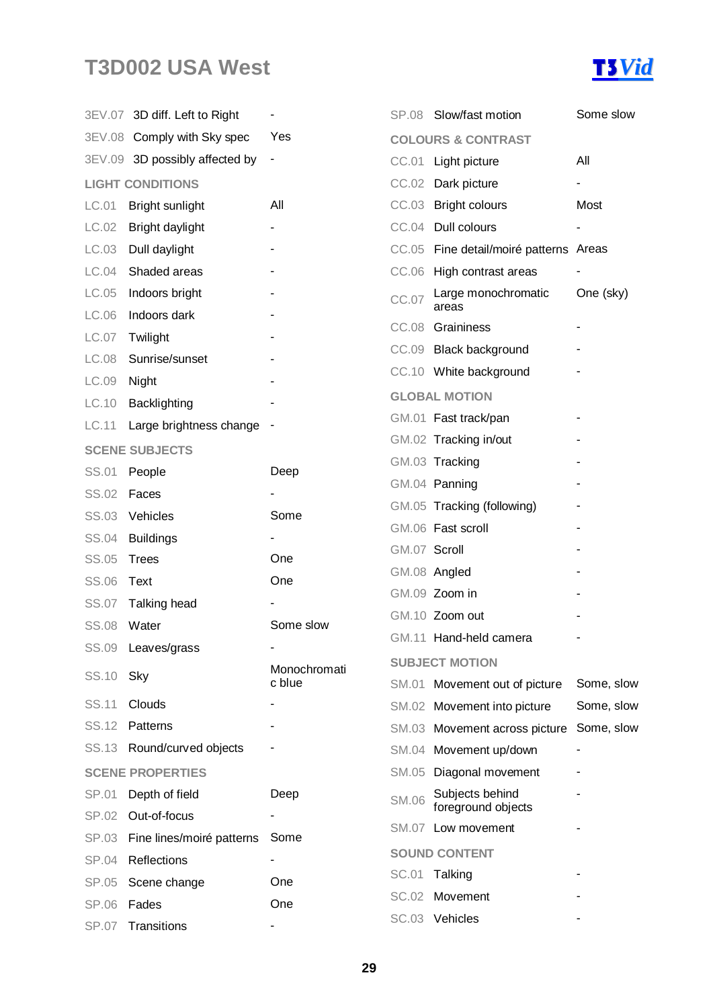

|              | 3EV.07 3D diff. Left to Right  |              |              | SP.08 Slow/fast motion                 | Some slow  |
|--------------|--------------------------------|--------------|--------------|----------------------------------------|------------|
|              | 3EV.08 Comply with Sky spec    | Yes          |              | <b>COLOURS &amp; CONTRAST</b>          |            |
|              | 3EV.09 3D possibly affected by | ٠            |              | CC.01 Light picture                    | All        |
|              | <b>LIGHT CONDITIONS</b>        |              |              | CC.02 Dark picture                     |            |
| LC.01        | Bright sunlight                | All          |              | CC.03 Bright colours                   | Most       |
| LC.02        | Bright daylight                |              |              | CC.04 Dull colours                     |            |
| LC.03        | Dull daylight                  |              |              | CC.05 Fine detail/moiré patterns Areas |            |
| LC.04        | Shaded areas                   |              |              | CC.06 High contrast areas              |            |
| LC.05        | Indoors bright                 |              | CC.07        | Large monochromatic                    | One (sky)  |
| LC.06        | Indoors dark                   |              |              | areas<br>CC.08 Graininess              |            |
| LC.07        | Twilight                       |              |              | CC.09 Black background                 |            |
| LC.08        | Sunrise/sunset                 |              |              |                                        |            |
| LC.09        | Night                          |              |              | CC.10 White background                 |            |
| LC.10        | Backlighting                   |              |              | <b>GLOBAL MOTION</b>                   |            |
| LC.11        | Large brightness change        |              |              | GM.01 Fast track/pan                   |            |
|              | <b>SCENE SUBJECTS</b>          |              |              | GM.02 Tracking in/out                  |            |
| SS.01        | People                         | Deep         |              | GM.03 Tracking                         |            |
| SS.02        | Faces                          |              |              | GM.04 Panning                          |            |
| <b>SS.03</b> | Vehicles                       | Some         |              | GM.05 Tracking (following)             |            |
| SS.04        | <b>Buildings</b>               |              |              | GM.06 Fast scroll                      |            |
| SS.05        | <b>Trees</b>                   | One          | GM.07 Scroll |                                        |            |
| <b>SS.06</b> | Text                           | One          |              | GM.08 Angled                           |            |
| <b>SS.07</b> | Talking head                   |              |              | GM.09 Zoom in                          |            |
| <b>SS.08</b> | Water                          | Some slow    |              | GM.10 Zoom out                         |            |
|              | SS.09 Leaves/grass             |              |              | GM.11 Hand-held camera                 |            |
| SS.10        | Sky                            | Monochromati |              | <b>SUBJECT MOTION</b>                  |            |
|              |                                | c blue       |              | SM.01 Movement out of picture          | Some, slow |
| SS.11        | Clouds                         |              |              | SM.02 Movement into picture            | Some, slow |
| SS.12        | Patterns                       |              |              | SM.03 Movement across picture          | Some, slow |
| SS.13        | Round/curved objects           |              |              | SM.04 Movement up/down                 |            |
|              | <b>SCENE PROPERTIES</b>        |              |              | SM.05 Diagonal movement                |            |
| SP.01        | Depth of field                 | Deep         | <b>SM.06</b> | Subjects behind<br>foreground objects  |            |
| SP.02        | Out-of-focus                   |              | SM.07        | Low movement                           |            |
| SP.03        | Fine lines/moiré patterns      | Some         |              | <b>SOUND CONTENT</b>                   |            |
| SP.04        | Reflections                    |              | SC.01        | Talking                                |            |
| SP.05        | Scene change                   | One          | SC.02        | Movement                               |            |
| SP.06        | Fades                          | One          |              | SC.03 Vehicles                         |            |
| <b>SP.07</b> | Transitions                    |              |              |                                        |            |